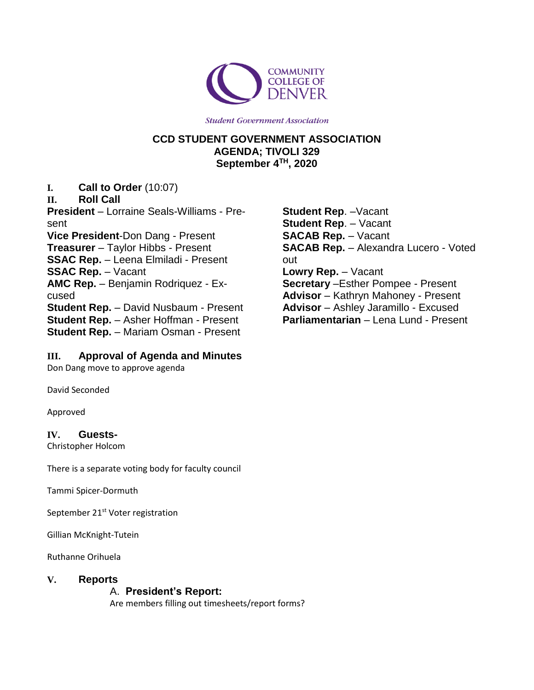

**Student Government Association** 

## **CCD STUDENT GOVERNMENT ASSOCIATION AGENDA; TIVOLI 329 September 4 TH, 2020**

**I. Call to Order** (10:07)

**II. Roll Call**

**President** – Lorraine Seals-Williams - Present **Vice President**-Don Dang - Present **Treasurer** – Taylor Hibbs - Present **SSAC Rep.** – Leena Elmiladi - Present **SSAC Rep.** – Vacant **AMC Rep.** – Benjamin Rodriquez - Excused **Student Rep.** – David Nusbaum - Present **Student Rep.** – Asher Hoffman - Present **Student Rep.** – Mariam Osman - Present

### **III. Approval of Agenda and Minutes**

Don Dang move to approve agenda

David Seconded

Approved

#### **IV. Guests-**

Christopher Holcom

There is a separate voting body for faculty council

Tammi Spicer-Dormuth

September 21<sup>st</sup> Voter registration

Gillian McKnight-Tutein

Ruthanne Orihuela

#### **V. Reports**

### A. **President's Report:**

Are members filling out timesheets/report forms?

**Student Rep**. –Vacant **Student Rep**. – Vacant **SACAB Rep.** – Vacant **SACAB Rep.** – Alexandra Lucero - Voted out **Lowry Rep.** – Vacant **Secretary** –Esther Pompee - Present **Advisor** – Kathryn Mahoney - Present **Advisor** – Ashley Jaramillo - Excused **Parliamentarian** – Lena Lund - Present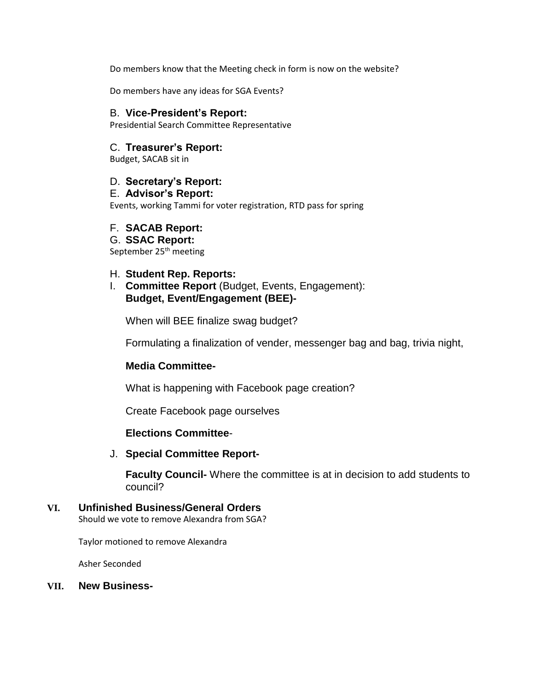Do members know that the Meeting check in form is now on the website?

Do members have any ideas for SGA Events?

#### B. **Vice-President's Report:**

Presidential Search Committee Representative

#### C. **Treasurer's Report:**

Budget, SACAB sit in

#### D. **Secretary's Report:**

#### E. **Advisor's Report:**

Events, working Tammi for voter registration, RTD pass for spring

#### F. **SACAB Report:**

# G. **SSAC Report:**

September 25<sup>th</sup> meeting

#### H. **Student Rep. Reports:**

I. **Committee Report** (Budget, Events, Engagement): **Budget, Event/Engagement (BEE)-**

When will BEE finalize swag budget?

Formulating a finalization of vender, messenger bag and bag, trivia night,

#### **Media Committee-**

What is happening with Facebook page creation?

Create Facebook page ourselves

### **Elections Committee**-

#### J. **Special Committee Report-**

**Faculty Council-** Where the committee is at in decision to add students to council?

# **VI. Unfinished Business/General Orders**

Should we vote to remove Alexandra from SGA?

Taylor motioned to remove Alexandra

Asher Seconded

#### **VII. New Business-**